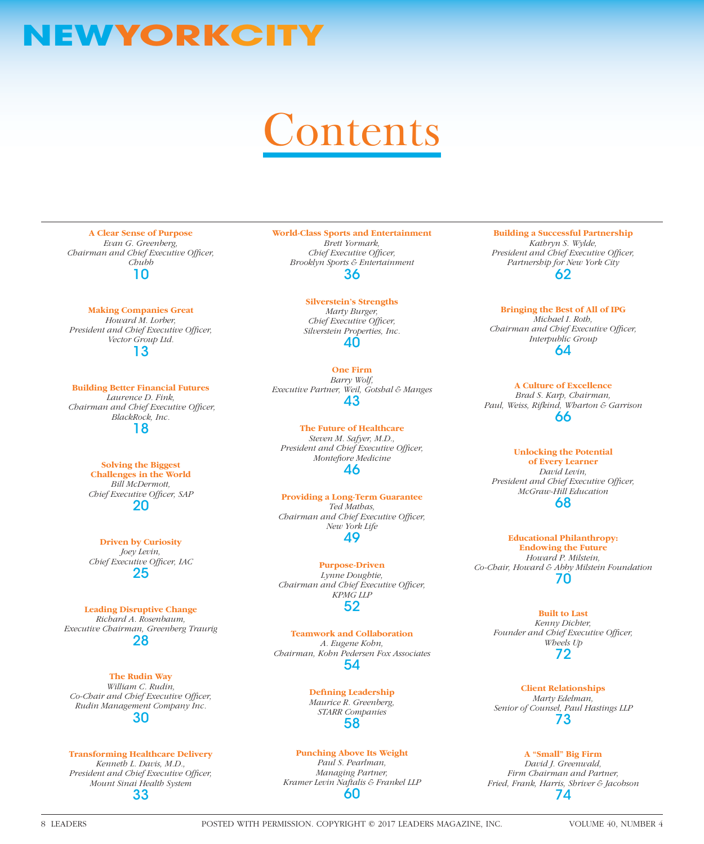# **NEWYORKCITY**

# **Contents**

**A Clear Sense of Purpose** *Evan G. Greenberg, Chairman and Chief Executive Officer, Chubb* 10

**Making Companies Great**

*Howard M. Lorber, President and Chief Executive Officer, Vector Group Ltd.* 13

**Building Better Financial Futures** *Laurence D. Fink, Chairman and Chief Executive Officer, BlackRock, Inc.* 18

> **Solving the Biggest Challenges in the World** *Bill McDermott,*  **Chief Executive Officer, SAP** 20

> **Driven by Curiosity** *Joey Levin,*  **Chief Executive Officer, IAC** 25

**Leading Disruptive Change** *Richard A. Rosenbaum, Executive Chairman, Greenberg Traurig* 28

**The Rudin Way** *William C. Rudin,*  Co-Chair and Chief Executive Officer, *Rudin Management Company Inc.* 30

**Transforming Healthcare Delivery** *Kenneth L. Davis, M.D., President and Chief Executive Officer, Mount Sinai Health System* 33

**World-Class Sports and Entertainment** *Brett Yormark, Chief Executive Officer,* 

*Brooklyn Sports & Entertainment* 36

> **Silverstein's Strengths** *Marty Burger, Chief Executive Officer, Silverstein Properties, Inc.* 40

**One Firm** *Barry Wolf, Executive Partner, Weil, Gotshal & Manges* 43

**The Future of Healthcare** *Steven M. Safyer, M.D., President and Chief Executive Officer, Montefiore Medicine* 46

**Providing a Long-Term Guarantee** *Ted Mathas,* 

*Chairman and Chief Executive Officer, New York Life*

49

**Purpose-Driven** *Lynne Doughtie, Chairman and Chief Executive Officer, KPMG LLP* 52

**Teamwork and Collaboration** *A. Eugene Kohn, Chairman, Kohn Pedersen Fox Associates* 54

> **Defining Leadership** *Maurice R. Greenberg, STARR Companies* 58

#### **Punching Above Its Weight** *Paul S. Pearlman, Managing Partner, Kramer Levin Naftalis & Frankel LLP* 60

**Building a Successful Partnership** *Kathryn S. Wylde, President and Chief Executive Officer, Partnership for New York City*

62

**Bringing the Best of All of IPG** *Michael I. Roth, Chairman and Chief Executive Officer, Interpublic Group* 64

**A Culture of Excellence** *Brad S. Karp, Chairman, Paul, Weiss, Rifkind, Wharton & Garrison* 66

#### **Unlocking the Potential**

**of Every Learner** *David Levin,*  **President and Chief Executive Officer,** *McGraw-Hill Education* 68

**Educational Philanthropy: Endowing the Future** *Howard P. Milstein, Co-Chair, Howard & Abby Milstein Foundation* 70

> **Built to Last** *Kenny Dichter,*  Founder and Chief Executive Officer, *Wheels Up* 72

> **Client Relationships** *Marty Edelman, Senior of Counsel, Paul Hastings LLP* 73

### **A "Small" Big Firm**

*David J. Greenwald, Firm Chairman and Partner, Fried, Frank, Harris, Shriver & Jacobson* 74